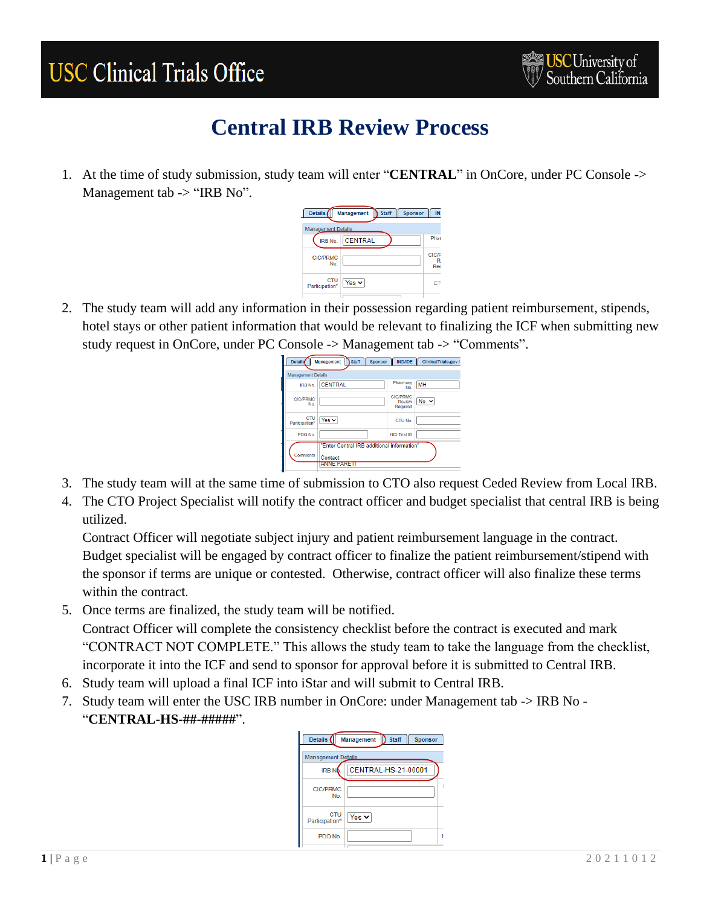## **USC Clinical Trials Office**

## **Central IRB Review Process**

1. At the time of study submission, study team will enter "**CENTRAL**" in OnCore, under PC Console -> Management tab -> "IRB No".



2. The study team will add any information in their possession regarding patient reimbursement, stipends, hotel stays or other patient information that would be relevant to finalizing the ICF when submitting new study request in OnCore, under PC Console -> Management tab -> "Comments".

| <b>Details</b>            | Staff <sup>I</sup><br>Management<br><b>Sponsor</b> | <b>IND/IDE</b>                        | ClinicalTrials.gov / |  |  |  |
|---------------------------|----------------------------------------------------|---------------------------------------|----------------------|--|--|--|
| <b>Management Details</b> |                                                    |                                       |                      |  |  |  |
| IRB No.                   | <b>CENTRAL</b>                                     | Pharmacy<br>No.                       | MH                   |  |  |  |
| <b>CIC/PRMC</b><br>No     |                                                    | <b>CIC/PRMC</b><br>Review<br>Required | $No \sim$            |  |  |  |
| CTU<br>Participation*     | Yes $\vee$                                         | CTU No.                               |                      |  |  |  |
| PDQ No.                   |                                                    | <b>NCI Trial ID</b>                   |                      |  |  |  |
|                           | "Enter Central IRB additional information"         |                                       |                      |  |  |  |
| Comments                  | Contact:                                           |                                       |                      |  |  |  |
|                           | <b>ANNE PARE II</b>                                |                                       |                      |  |  |  |

- 3. The study team will at the same time of submission to CTO also request Ceded Review from Local IRB.
- 4. The CTO Project Specialist will notify the contract officer and budget specialist that central IRB is being utilized.

Contract Officer will negotiate subject injury and patient reimbursement language in the contract. Budget specialist will be engaged by contract officer to finalize the patient reimbursement/stipend with the sponsor if terms are unique or contested. Otherwise, contract officer will also finalize these terms within the contract.

5. Once terms are finalized, the study team will be notified.

Contract Officer will complete the consistency checklist before the contract is executed and mark "CONTRACT NOT COMPLETE." This allows the study team to take the language from the checklist, incorporate it into the ICF and send to sponsor for approval before it is submitted to Central IRB.

- 6. Study team will upload a final ICF into iStar and will submit to Central IRB.
- 7. Study team will enter the USC IRB number in OnCore: under Management tab -> IRB No "**CENTRAL-HS-##-#####**".

| Management B Staff<br>Details (<br><b>Sponsor</b> |                     |  |  |  |  |  |  |
|---------------------------------------------------|---------------------|--|--|--|--|--|--|
| <b>Management Details</b>                         |                     |  |  |  |  |  |  |
| <b>IRBN</b>                                       | CENTRAL-HS-21-00001 |  |  |  |  |  |  |
| <b>CIC/PRMC</b><br>No.                            |                     |  |  |  |  |  |  |
| <b>CTU</b><br>Participation*                      | Yes $\vee$          |  |  |  |  |  |  |
| PDQ No.                                           |                     |  |  |  |  |  |  |